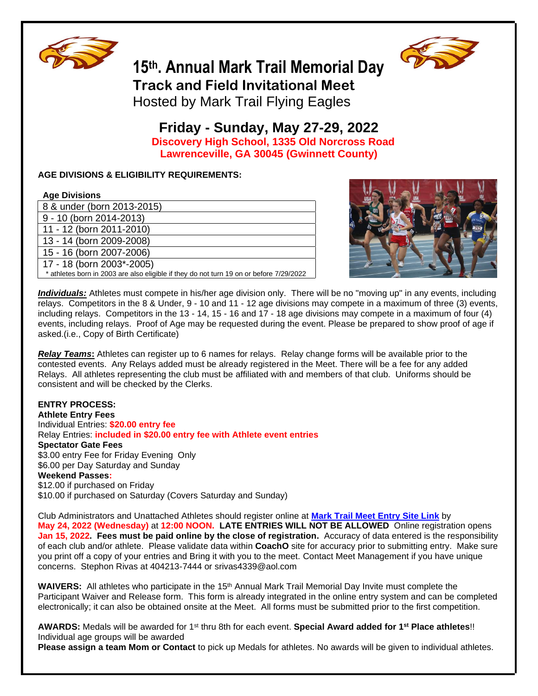

# **15 th. Annual Mark Trail Memorial Day Track and Field Invitational Meet**



Hosted by Mark Trail Flying Eagles

# **Friday - Sunday, May 27-29, 2022 Discovery High School, 1335 Old Norcross Road Lawrenceville, GA 30045 (Gwinnett County)**

# **AGE DIVISIONS & ELIGIBILITY REQUIREMENTS:**

# **Age Divisions**

| 8 & under (born 2013-2015)                                                              |
|-----------------------------------------------------------------------------------------|
| 9 - 10 (born 2014-2013)                                                                 |
| 11 - 12 (born 2011-2010)                                                                |
| 13 - 14 (born 2009-2008)                                                                |
| 15 - 16 (born 2007-2006)                                                                |
| 17 - 18 (born 2003*-2005)                                                               |
| * athletes born in 2003 are also eligible if they do not turn 19 on or before 7/29/2022 |
|                                                                                         |



*Individuals:* Athletes must compete in his/her age division only. There will be no "moving up" in any events, including relays. Competitors in the 8 & Under, 9 - 10 and 11 - 12 age divisions may compete in a maximum of three (3) events, including relays. Competitors in the 13 - 14, 15 - 16 and 17 - 18 age divisions may compete in a maximum of four (4) events, including relays. Proof of Age may be requested during the event. Please be prepared to show proof of age if asked.(i.e., Copy of Birth Certificate)

*Relay Teams***:** Athletes can register up to 6 names for relays. Relay change forms will be available prior to the contested events. Any Relays added must be already registered in the Meet. There will be a fee for any added Relays. All athletes representing the club must be affiliated with and members of that club. Uniforms should be consistent and will be checked by the Clerks.

# **ENTRY PROCESS:**

**Athlete Entry Fees** Individual Entries: **\$20.00 entry fee**  Relay Entries: **included in \$20.00 entry fee with Athlete event entries Spectator Gate Fees** \$3.00 entry Fee for Friday Evening Only \$6.00 per Day Saturday and Sunday **Weekend Passes:**  \$12.00 if purchased on Friday \$10.00 if purchased on Saturday (Covers Saturday and Sunday)

Club Administrators and Unattached Athletes should register online at **[Mark Trail Meet Entry Site Link](https://coachoregistration.com/dbi-bin/meetinfopage.pl?Web_Site_Id=ga_marktrail&Meet_Id=martramemd1701&Team_Id=&)** by **May 24, 2022 (Wednesday)** at **12:00 NOON. LATE ENTRIES WILL NOT BE ALLOWED** Online registration opens **Jan 15, 2022. Fees must be paid online by the close of registration.** Accuracy of data entered is the responsibility of each club and/or athlete. Please validate data within **CoachO** site for accuracy prior to submitting entry. Make sure you print off a copy of your entries and Bring it with you to the meet. Contact Meet Management if you have unique concerns. Stephon Rivas at 404213-7444 or srivas4339@aol.com

WAIVERS: All athletes who participate in the 15<sup>th</sup> Annual Mark Trail Memorial Day Invite must complete the Participant Waiver and Release form. This form is already integrated in the online entry system and can be completed electronically; it can also be obtained onsite at the Meet. All forms must be submitted prior to the first competition.

**AWARDS:** Medals will be awarded for 1st thru 8th for each event. **Special Award added for 1 st Place athletes**!! Individual age groups will be awarded

**Please assign a team Mom or Contact** to pick up Medals for athletes. No awards will be given to individual athletes.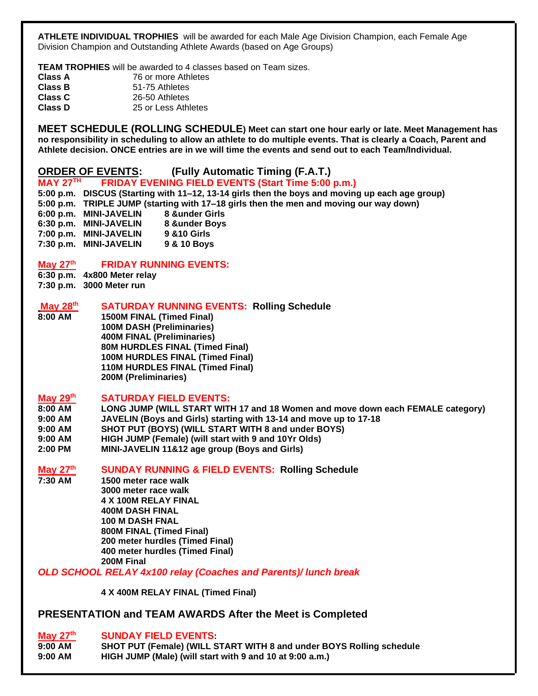**ATHLETE INDIVIDUAL TROPHIES** will be awarded for each Male Age Division Champion, each Female Age Division Champion and Outstanding Athlete Awards (based on Age Groups)

**TEAM TROPHIES** will be awarded to 4 classes based on Team sizes.

| Class A        | 76 or more Athletes |
|----------------|---------------------|
| Class B        | 51-75 Athletes      |
| <b>Class C</b> | 26-50 Athletes      |
| <b>Class D</b> | 25 or Less Athletes |

**MEET SCHEDULE (ROLLING SCHEDULE) Meet can start one hour early or late. Meet Management has no responsibility in scheduling to allow an athlete to do multiple events. That is clearly a Coach, Parent and Athlete decision. ONCE entries are in we will time the events and send out to each Team/Individual.**

# **ORDER OF EVENTS: (Fully Automatic Timing (F.A.T.)**

#### **MAY 27 FRIDAY EVENING FIELD EVENTS (Start Time 5:00 p.m.)**

**5:00 p.m. DISCUS (Starting with 11–12, 13-14 girls then the boys and moving up each age group) 5:00 p.m. TRIPLE JUMP (starting with 17–18 girls then the men and moving our way down) 6:00 p.m. MINI-JAVELIN 8 &under Girls 6:30 p.m. MINI-JAVELIN 8 &under Boys 7:00 p.m. MINI-JAVELIN 9 &10 Girls 7:30 p.m. MINI-JAVELIN 9 & 10 Boys** 

#### **May 27 th FRIDAY RUNNING EVENTS:**

**6:30 p.m. 4x800 Meter relay 7:30 p.m. 3000 Meter run**

#### **May 28 th SATURDAY RUNNING EVENTS: Rolling Schedule**

**8:00 AM 1500M FINAL (Timed Final) 100M DASH (Preliminaries) 400M FINAL (Preliminaries) 80M HURDLES FINAL (Timed Final) 100M HURDLES FINAL (Timed Final) 110M HURDLES FINAL (Timed Final) 200M (Preliminaries)**

#### **May 29 th SATURDAY FIELD EVENTS:**

- **8:00 AM LONG JUMP (WILL START WITH 17 and 18 Women and move down each FEMALE category)**
- **9:00 AM JAVELIN (Boys and Girls) starting with 13-14 and move up to 17-18**
- **9:00 AM SHOT PUT (BOYS) (WILL START WITH 8 and under BOYS)**
- **9:00 AM HIGH JUMP (Female) (will start with 9 and 10Yr Olds)**
- **2:00 PM MINI-JAVELIN 11&12 age group (Boys and Girls)**

# **May 27th SUNDAY RUNNING & FIELD EVENTS: Rolling Schedule**

**7:30 AM 1500 meter race walk 3000 meter race walk 4 X 100M RELAY FINAL 400M DASH FINAL 100 M DASH FNAL 800M FINAL (Timed Final) 200 meter hurdles (Timed Final) 400 meter hurdles (Timed Final) 200M Final** 

*OLD SCHOOL RELAY 4x100 relay (Coaches and Parents)/ lunch break*

**4 X 400M RELAY FINAL (Timed Final)** 

# **PRESENTATION and TEAM AWARDS After the Meet is Completed**

# **May 27th SUNDAY FIELD EVENTS:**

**9:00 AM SHOT PUT (Female) (WILL START WITH 8 and under BOYS Rolling schedule 9:00 AM HIGH JUMP (Male) (will start with 9 and 10 at 9:00 a.m.)**